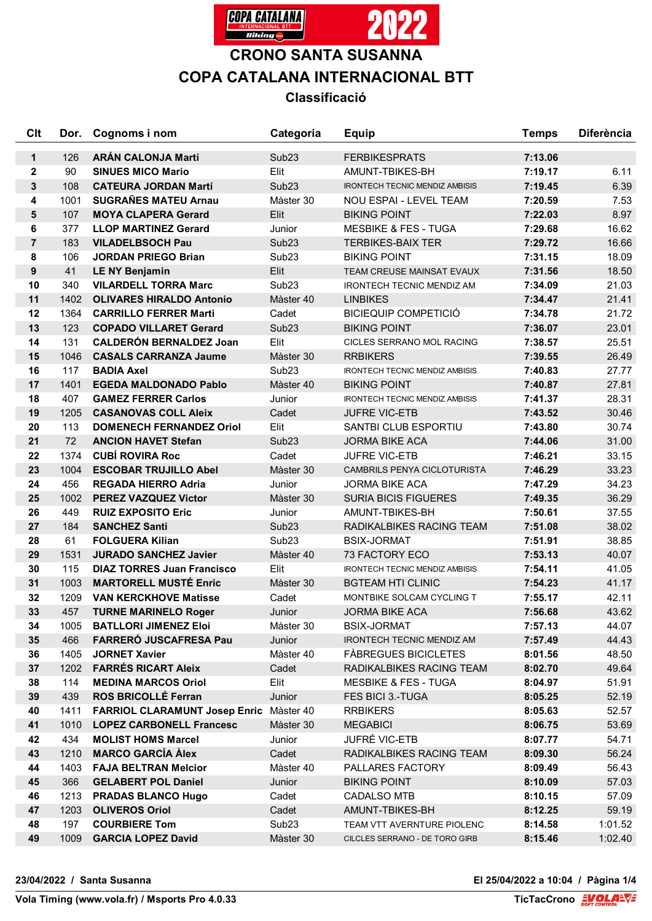

# **CRONO SANTA SUSANNA COPA CATALANA INTERNACIONAL BTT**

## **Classificació**

| Clt              | Dor. | Cognoms i nom                           | Categoria         | <b>Equip</b>                          | <b>Temps</b> | <b>Diferència</b> |
|------------------|------|-----------------------------------------|-------------------|---------------------------------------|--------------|-------------------|
| $\mathbf 1$      | 126  | <b>ARÁN CALONJA Martí</b>               | Sub <sub>23</sub> | <b>FERBIKESPRATS</b>                  | 7:13.06      |                   |
| $\mathbf 2$      | 90   | <b>SINUES MICO Mario</b>                | Elit              | AMUNT-TBIKES-BH                       | 7:19.17      | 6.11              |
| $\mathbf 3$      | 108  | <b>CATEURA JORDAN Martí</b>             | Sub <sub>23</sub> | <b>IRONTECH TECNIC MENDIZ AMBISIS</b> | 7:19.45      | 6.39              |
| 4                | 1001 | <b>SUGRAÑES MATEU Arnau</b>             | Màster 30         | NOU ESPAI - LEVEL TEAM                | 7:20.59      | 7.53              |
| $5\phantom{1}$   | 107  | <b>MOYA CLAPERA Gerard</b>              | Elit              | <b>BIKING POINT</b>                   | 7:22.03      | 8.97              |
| 6                | 377  | <b>LLOP MARTINEZ Gerard</b>             | Junior            | <b>MESBIKE &amp; FES - TUGA</b>       | 7:29.68      | 16.62             |
| $\overline{7}$   | 183  | <b>VILADELBSOCH Pau</b>                 | Sub <sub>23</sub> | <b>TERBIKES-BAIX TER</b>              | 7:29.72      | 16.66             |
| 8                | 106  | <b>JORDAN PRIEGO Brian</b>              | Sub <sub>23</sub> | <b>BIKING POINT</b>                   | 7:31.15      | 18.09             |
| $\boldsymbol{9}$ | 41   | <b>LE NY Benjamin</b>                   | Elit              | TEAM CREUSE MAINSAT EVAUX             | 7:31.56      | 18.50             |
| 10               | 340  | <b>VILARDELL TORRA Marc</b>             | Sub <sub>23</sub> | <b>IRONTECH TECNIC MENDIZ AM</b>      | 7:34.09      | 21.03             |
| 11               | 1402 | <b>OLIVARES HIRALDO Antonio</b>         | Màster 40         | <b>LINBIKES</b>                       | 7:34.47      | 21.41             |
| 12               | 1364 | <b>CARRILLO FERRER Marti</b>            | Cadet             | <b>BICIEQUIP COMPETICIÓ</b>           | 7:34.78      | 21.72             |
| 13               | 123  | <b>COPADO VILLARET Gerard</b>           | Sub <sub>23</sub> | <b>BIKING POINT</b>                   | 7:36.07      | 23.01             |
| 14               | 131  | <b>CALDERÓN BERNALDEZ Joan</b>          | Elit              | CICLES SERRANO MOL RACING             | 7:38.57      | 25.51             |
| 15               | 1046 | <b>CASALS CARRANZA Jaume</b>            | Màster 30         | <b>RRBIKERS</b>                       | 7:39.55      | 26.49             |
| 16               | 117  | <b>BADIA Axel</b>                       | Sub <sub>23</sub> | <b>IRONTECH TECNIC MENDIZ AMBISIS</b> | 7:40.83      | 27.77             |
| 17               | 1401 | <b>EGEDA MALDONADO Pablo</b>            | Màster 40         | <b>BIKING POINT</b>                   | 7:40.87      | 27.81             |
| 18               | 407  | <b>GAMEZ FERRER Carlos</b>              | Junior            | <b>IRONTECH TECNIC MENDIZ AMBISIS</b> | 7:41.37      | 28.31             |
| 19               | 1205 | <b>CASANOVAS COLL Aleix</b>             | Cadet             | <b>JUFRE VIC-ETB</b>                  | 7:43.52      | 30.46             |
| 20               | 113  | <b>DOMENECH FERNANDEZ Oriol</b>         | Elit              | SANTBI CLUB ESPORTIU                  | 7:43.80      | 30.74             |
| 21               | 72   | <b>ANCION HAVET Stefan</b>              | Sub <sub>23</sub> | <b>JORMA BIKE ACA</b>                 | 7:44.06      | 31.00             |
| 22               | 1374 | <b>CUBÍ ROVIRA Roc</b>                  | Cadet             | <b>JUFRE VIC-ETB</b>                  | 7:46.21      | 33.15             |
| 23               | 1004 | <b>ESCOBAR TRUJILLO Abel</b>            | Màster 30         | CAMBRILS PENYA CICLOTURISTA           | 7:46.29      | 33.23             |
| 24               | 456  | <b>REGADA HIERRO Adria</b>              | Junior            | <b>JORMA BIKE ACA</b>                 | 7:47.29      | 34.23             |
| 25               | 1002 | <b>PEREZ VAZQUEZ Victor</b>             | Màster 30         | <b>SURIA BICIS FIGUERES</b>           | 7:49.35      | 36.29             |
| 26               | 449  | <b>RUIZ EXPOSITO Eric</b>               | Junior            | AMUNT-TBIKES-BH                       | 7:50.61      | 37.55             |
| 27               | 184  | <b>SANCHEZ Santi</b>                    | Sub <sub>23</sub> | RADIKALBIKES RACING TEAM              | 7:51.08      | 38.02             |
| 28               | 61   | <b>FOLGUERA Kilian</b>                  | Sub <sub>23</sub> | <b>BSIX-JORMAT</b>                    | 7:51.91      | 38.85             |
| 29               | 1531 | <b>JURADO SANCHEZ Javier</b>            | Màster 40         | 73 FACTORY ECO                        | 7:53.13      | 40.07             |
| 30               | 115  | <b>DIAZ TORRES Juan Francisco</b>       | Elit              | <b>IRONTECH TECNIC MENDIZ AMBISIS</b> | 7:54.11      | 41.05             |
| 31               | 1003 | <b>MARTORELL MUSTÉ Enric</b>            | Màster 30         | <b>BGTEAM HTI CLINIC</b>              | 7:54.23      | 41.17             |
| 32               | 1209 | <b>VAN KERCKHOVE Matisse</b>            | Cadet             | <b>MONTBIKE SOLCAM CYCLING T</b>      | 7:55.17      | 42.11             |
| 33               | 457  | <b>TURNE MARINELO Roger</b>             | Junior            | <b>JORMA BIKE ACA</b>                 | 7:56.68      | 43.62             |
| 34               | 1005 | <b>BATLLORI JIMENEZ Eloi</b>            | Màster 30         | <b>BSIX-JORMAT</b>                    | 7:57.13      | 44.07             |
| 35               | 466  | FARRERÓ JUSCAFRESA Pau                  | Junior            | IRONTECH TECNIC MENDIZ AM             | 7:57.49      | 44.43             |
| 36               | 1405 | <b>JORNET Xavier</b>                    | Màster 40         | <b>FABREGUES BICICLETES</b>           | 8:01.56      | 48.50             |
| 37               | 1202 | <b>FARRÉS RICART Aleix</b>              | Cadet             | RADIKALBIKES RACING TEAM              | 8:02.70      | 49.64             |
| 38               | 114  | <b>MEDINA MARCOS Oriol</b>              | Elit              | <b>MESBIKE &amp; FES - TUGA</b>       | 8:04.97      | 51.91             |
| 39               | 439  | <b>ROS BRICOLLÉ Ferran</b>              | Junior            | FES BICI 3.-TUGA                      | 8:05.25      | 52.19             |
| 40               | 1411 | FARRIOL CLARAMUNT Josep Enric Màster 40 |                   | <b>RRBIKERS</b>                       | 8:05.63      | 52.57             |
| 41               | 1010 | <b>LOPEZ CARBONELL Francesc</b>         | Màster 30         | <b>MEGABICI</b>                       | 8:06.75      | 53.69             |
| 42               | 434  | <b>MOLIST HOMS Marcel</b>               | Junior            | <b>JUFRÉ VIC-ETB</b>                  | 8:07.77      | 54.71             |
| 43               | 1210 | <b>MARCO GARCÍA Àlex</b>                | Cadet             | RADIKALBIKES RACING TEAM              | 8:09.30      | 56.24             |
| 44               | 1403 | <b>FAJA BELTRAN Melcior</b>             | Màster 40         | PALLARES FACTORY                      | 8:09.49      | 56.43             |
| 45               | 366  | <b>GELABERT POL Daniel</b>              | Junior            | <b>BIKING POINT</b>                   | 8:10.09      | 57.03             |
| 46               | 1213 | <b>PRADAS BLANCO Hugo</b>               | Cadet             | <b>CADALSO MTB</b>                    | 8:10.15      | 57.09             |
| 47               | 1203 | <b>OLIVEROS Oriol</b>                   | Cadet             | AMUNT-TBIKES-BH                       | 8:12.25      | 59.19             |
| 48               | 197  | <b>COURBIERE Tom</b>                    | Sub <sub>23</sub> | TEAM VTT AVERNTURE PIOLENC            | 8:14.58      | 1:01.52           |
| 49               | 1009 | <b>GARCIA LOPEZ David</b>               | Màster 30         | CILCLES SERRANO - DE TORO GIRB        | 8:15.46      | 1:02.40           |
|                  |      |                                         |                   |                                       |              |                   |

**TicTacCrono** EVOLANE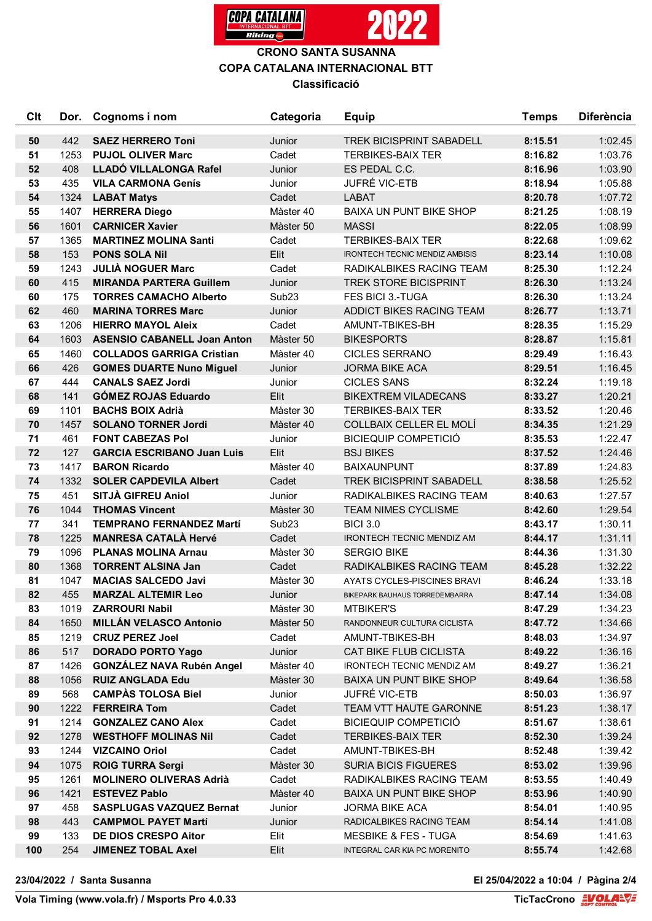

### **CRONO SANTA SUSANNA COPA CATALANA INTERNACIONAL BTT Classificació**

| Clt | Dor. | Cognoms i nom                      | Categoria         | <b>Equip</b>                          | <b>Temps</b> | <b>Diferència</b> |
|-----|------|------------------------------------|-------------------|---------------------------------------|--------------|-------------------|
| 50  | 442  | <b>SAEZ HERRERO Toni</b>           | Junior            | <b>TREK BICISPRINT SABADELL</b>       | 8:15.51      | 1:02.45           |
| 51  | 1253 | <b>PUJOL OLIVER Marc</b>           | Cadet             | <b>TERBIKES-BAIX TER</b>              | 8:16.82      | 1:03.76           |
| 52  | 408  | LLADÓ VILLALONGA Rafel             | Junior            | ES PEDAL C.C.                         | 8:16.96      | 1:03.90           |
| 53  | 435  | <b>VILA CARMONA Genís</b>          | Junior            | JUFRÉ VIC-ETB                         | 8:18.94      | 1:05.88           |
| 54  | 1324 | <b>LABAT Matys</b>                 | Cadet             | <b>LABAT</b>                          | 8:20.78      | 1:07.72           |
| 55  | 1407 | <b>HERRERA Diego</b>               | Màster 40         | <b>BAIXA UN PUNT BIKE SHOP</b>        | 8:21.25      | 1:08.19           |
| 56  | 1601 | <b>CARNICER Xavier</b>             | Màster 50         | <b>MASSI</b>                          | 8:22.05      | 1:08.99           |
| 57  | 1365 | <b>MARTINEZ MOLINA Santi</b>       | Cadet             | <b>TERBIKES-BAIX TER</b>              | 8:22.68      | 1:09.62           |
| 58  | 153  | <b>PONS SOLA Nil</b>               | Elit              | <b>IRONTECH TECNIC MENDIZ AMBISIS</b> | 8:23.14      | 1:10.08           |
| 59  | 1243 | <b>JULIÀ NOGUER Marc</b>           | Cadet             | RADIKALBIKES RACING TEAM              | 8:25.30      | 1:12.24           |
| 60  | 415  | <b>MIRANDA PARTERA Guillem</b>     | Junior            | <b>TREK STORE BICISPRINT</b>          | 8:26.30      | 1:13.24           |
| 60  | 175  | <b>TORRES CAMACHO Alberto</b>      | Sub <sub>23</sub> | FES BICI 3.-TUGA                      | 8:26.30      | 1:13.24           |
| 62  | 460  | <b>MARINA TORRES Marc</b>          | Junior            | ADDICT BIKES RACING TEAM              | 8:26.77      | 1:13.71           |
| 63  | 1206 | <b>HIERRO MAYOL Aleix</b>          | Cadet             | AMUNT-TBIKES-BH                       | 8:28.35      | 1:15.29           |
| 64  | 1603 | <b>ASENSIO CABANELL Joan Anton</b> | Màster 50         | <b>BIKESPORTS</b>                     | 8:28.87      | 1:15.81           |
| 65  | 1460 | <b>COLLADOS GARRIGA Cristian</b>   | Màster 40         | <b>CICLES SERRANO</b>                 | 8:29.49      | 1:16.43           |
| 66  | 426  | <b>GOMES DUARTE Nuno Miguel</b>    | Junior            | <b>JORMA BIKE ACA</b>                 | 8:29.51      | 1:16.45           |
| 67  | 444  | <b>CANALS SAEZ Jordi</b>           | Junior            | <b>CICLES SANS</b>                    | 8:32.24      | 1:19.18           |
| 68  | 141  | <b>GÓMEZ ROJAS Eduardo</b>         | Elit              | <b>BIKEXTREM VILADECANS</b>           | 8:33.27      | 1:20.21           |
| 69  | 1101 | <b>BACHS BOIX Adrià</b>            | Màster 30         | <b>TERBIKES-BAIX TER</b>              | 8:33.52      | 1:20.46           |
| 70  | 1457 | <b>SOLANO TORNER Jordi</b>         | Màster 40         | COLLBAIX CELLER EL MOLÍ               | 8:34.35      | 1:21.29           |
| 71  | 461  | <b>FONT CABEZAS Pol</b>            | Junior            | <b>BICIEQUIP COMPETICIÓ</b>           | 8:35.53      | 1:22.47           |
| 72  | 127  | <b>GARCIA ESCRIBANO Juan Luis</b>  | Elit              | <b>BSJ BIKES</b>                      | 8:37.52      | 1:24.46           |
| 73  | 1417 | <b>BARON Ricardo</b>               | Màster 40         | <b>BAIXAUNPUNT</b>                    | 8:37.89      | 1:24.83           |
| 74  | 1332 | <b>SOLER CAPDEVILA Albert</b>      | Cadet             | <b>TREK BICISPRINT SABADELL</b>       | 8:38.58      | 1:25.52           |
| 75  | 451  | SITJÀ GIFREU Aniol                 | Junior            | RADIKALBIKES RACING TEAM              | 8:40.63      | 1:27.57           |
| 76  | 1044 | <b>THOMAS Vincent</b>              | Màster 30         | <b>TEAM NIMES CYCLISME</b>            | 8:42.60      | 1:29.54           |
| 77  | 341  | <b>TEMPRANO FERNANDEZ Martí</b>    | Sub <sub>23</sub> | <b>BICI 3.0</b>                       | 8:43.17      | 1:30.11           |
| 78  | 1225 | <b>MANRESA CATALÀ Hervé</b>        | Cadet             | <b>IRONTECH TECNIC MENDIZ AM</b>      | 8:44.17      | 1:31.11           |
| 79  | 1096 | <b>PLANAS MOLINA Arnau</b>         | Màster 30         | <b>SERGIO BIKE</b>                    | 8:44.36      | 1:31.30           |
| 80  | 1368 | <b>TORRENT ALSINA Jan</b>          | Cadet             | RADIKALBIKES RACING TEAM              | 8:45.28      | 1:32.22           |
| 81  | 1047 | <b>MACIAS SALCEDO Javi</b>         | Màster 30         | AYATS CYCLES-PISCINES BRAVI           | 8:46.24      | 1:33.18           |
| 82  | 455  | <b>MARZAL ALTEMIR Leo</b>          | Junior            | BIKEPARK BAUHAUS TORREDEMBARRA        | 8:47.14      | 1:34.08           |
| 83  | 1019 | <b>ZARROURI Nabil</b>              | Màster 30         | <b>MTBIKER'S</b>                      | 8:47.29      | 1:34.23           |
| 84  | 1650 | <b>MILLÁN VELASCO Antonio</b>      | Màster 50         | RANDONNEUR CULTURA CICLISTA           | 8:47.72      | 1:34.66           |
| 85  | 1219 | <b>CRUZ PEREZ Joel</b>             | Cadet             | AMUNT-TBIKES-BH                       | 8:48.03      | 1:34.97           |
| 86  | 517  | <b>DORADO PORTO Yago</b>           | Junior            | CAT BIKE FLUB CICLISTA                | 8:49.22      | 1:36.16           |
| 87  | 1426 | <b>GONZÁLEZ NAVA Rubén Angel</b>   | Màster 40         | IRONTECH TECNIC MENDIZ AM             | 8:49.27      | 1:36.21           |
| 88  | 1056 | <b>RUIZ ANGLADA Edu</b>            | Màster 30         | <b>BAIXA UN PUNT BIKE SHOP</b>        | 8:49.64      | 1:36.58           |
| 89  | 568  | <b>CAMPAS TOLOSA Biel</b>          | Junior            | <b>JUFRÉ VIC-ETB</b>                  | 8:50.03      | 1:36.97           |
| 90  | 1222 | <b>FERREIRA Tom</b>                | Cadet             | TEAM VTT HAUTE GARONNE                | 8:51.23      | 1:38.17           |
| 91  | 1214 | <b>GONZALEZ CANO Alex</b>          | Cadet             | <b>BICIEQUIP COMPETICIÓ</b>           | 8:51.67      | 1:38.61           |
| 92  | 1278 | <b>WESTHOFF MOLINAS Nil</b>        | Cadet             | <b>TERBIKES-BAIX TER</b>              | 8:52.30      | 1:39.24           |
| 93  | 1244 | <b>VIZCAINO Oriol</b>              | Cadet             | AMUNT-TBIKES-BH                       | 8:52.48      | 1:39.42           |
| 94  | 1075 | <b>ROIG TURRA Sergi</b>            | Màster 30         | <b>SURIA BICIS FIGUERES</b>           | 8:53.02      | 1:39.96           |
| 95  | 1261 | <b>MOLINERO OLIVERAS Adrià</b>     | Cadet             | RADIKALBIKES RACING TEAM              | 8:53.55      | 1:40.49           |
| 96  | 1421 | <b>ESTEVEZ Pablo</b>               | Màster 40         | <b>BAIXA UN PUNT BIKE SHOP</b>        | 8:53.96      | 1:40.90           |
| 97  | 458  | <b>SASPLUGAS VAZQUEZ Bernat</b>    | Junior            | <b>JORMA BIKE ACA</b>                 | 8:54.01      | 1:40.95           |
| 98  | 443  | <b>CAMPMOL PAYET Martí</b>         | Junior            | RADICALBIKES RACING TEAM              | 8:54.14      | 1:41.08           |
| 99  | 133  | DE DIOS CRESPO Aitor               | Elit              | <b>MESBIKE &amp; FES - TUGA</b>       | 8:54.69      | 1:41.63           |
| 100 | 254  | <b>JIMENEZ TOBAL Axel</b>          | Elit              | INTEGRAL CAR KIA PC MORENITO          | 8:55.74      | 1:42.68           |

**23/04/2022 / Santa Susanna El 25/04/2022 a 10:04 / Pàgina 2/4**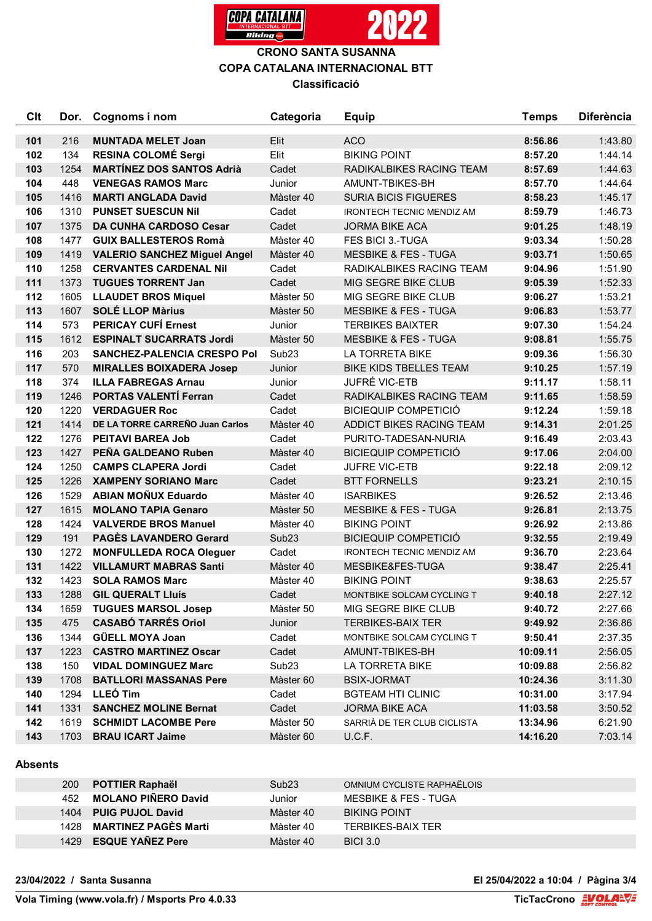

### **CRONO SANTA SUSANNA COPA CATALANA INTERNACIONAL BTT Classificació**

| C <sub>It</sub> | Dor. | Cognoms i nom                       | Categoria         | <b>Equip</b>                     | <b>Temps</b> | <b>Diferència</b> |
|-----------------|------|-------------------------------------|-------------------|----------------------------------|--------------|-------------------|
| 101             | 216  | <b>MUNTADA MELET Joan</b>           | Elit              | <b>ACO</b>                       | 8:56.86      | 1:43.80           |
| 102             | 134  | <b>RESINA COLOMÉ Sergi</b>          | Elit              | <b>BIKING POINT</b>              | 8:57.20      | 1:44.14           |
| 103             | 1254 | <b>MARTÍNEZ DOS SANTOS Adrià</b>    | Cadet             | RADIKALBIKES RACING TEAM         | 8:57.69      | 1:44.63           |
| 104             | 448  | <b>VENEGAS RAMOS Marc</b>           | Junior            | AMUNT-TBIKES-BH                  | 8:57.70      | 1:44.64           |
| 105             | 1416 | <b>MARTI ANGLADA David</b>          | Màster 40         | <b>SURIA BICIS FIGUERES</b>      | 8:58.23      | 1:45.17           |
| 106             | 1310 | <b>PUNSET SUESCUN Nil</b>           | Cadet             | <b>IRONTECH TECNIC MENDIZ AM</b> | 8:59.79      | 1:46.73           |
| 107             | 1375 | <b>DA CUNHA CARDOSO Cesar</b>       | Cadet             | <b>JORMA BIKE ACA</b>            | 9:01.25      | 1:48.19           |
| 108             | 1477 | <b>GUIX BALLESTEROS Romà</b>        | Màster 40         | FES BICI 3.-TUGA                 | 9:03.34      | 1:50.28           |
| 109             | 1419 | <b>VALERIO SANCHEZ Miguel Angel</b> | Màster 40         | <b>MESBIKE &amp; FES - TUGA</b>  | 9:03.71      | 1:50.65           |
| 110             | 1258 | <b>CERVANTES CARDENAL Nil</b>       | Cadet             | RADIKALBIKES RACING TEAM         | 9:04.96      | 1:51.90           |
| 111             | 1373 | <b>TUGUES TORRENT Jan</b>           | Cadet             | MIG SEGRE BIKE CLUB              | 9:05.39      | 1:52.33           |
| 112             | 1605 | <b>LLAUDET BROS Miquel</b>          | Màster 50         | MIG SEGRE BIKE CLUB              | 9:06.27      | 1:53.21           |
| 113             | 1607 | <b>SOLÉ LLOP Màrius</b>             | Màster 50         | <b>MESBIKE &amp; FES - TUGA</b>  | 9:06.83      | 1:53.77           |
| 114             | 573  | <b>PERICAY CUFÍ Ernest</b>          | Junior            | <b>TERBIKES BAIXTER</b>          | 9:07.30      | 1:54.24           |
| 115             | 1612 | <b>ESPINALT SUCARRATS Jordi</b>     | Màster 50         | <b>MESBIKE &amp; FES - TUGA</b>  | 9:08.81      | 1:55.75           |
| 116             | 203  | <b>SANCHEZ-PALENCIA CRESPO Pol</b>  | Sub <sub>23</sub> | <b>LA TORRETA BIKE</b>           | 9:09.36      | 1:56.30           |
| 117             | 570  | <b>MIRALLES BOIXADERA Josep</b>     | Junior            | <b>BIKE KIDS TBELLES TEAM</b>    | 9:10.25      | 1:57.19           |
| 118             | 374  | <b>ILLA FABREGAS Arnau</b>          | Junior            | JUFRÉ VIC-ETB                    | 9:11.17      | 1:58.11           |
| 119             | 1246 | <b>PORTAS VALENTÍ Ferran</b>        | Cadet             | RADIKALBIKES RACING TEAM         | 9:11.65      | 1:58.59           |
| 120             | 1220 | <b>VERDAGUER Roc</b>                | Cadet             | <b>BICIEQUIP COMPETICIÓ</b>      | 9:12.24      | 1:59.18           |
| 121             | 1414 | DE LA TORRE CARREÑO Juan Carlos     | Màster 40         | ADDICT BIKES RACING TEAM         | 9:14.31      | 2:01.25           |
| 122             | 1276 | <b>PEITAVI BAREA Job</b>            | Cadet             | PURITO-TADESAN-NURIA             | 9:16.49      | 2:03.43           |
| 123             | 1427 | PEÑA GALDEANO Ruben                 | Màster 40         | <b>BICIEQUIP COMPETICIÓ</b>      | 9:17.06      | 2:04.00           |
| 124             | 1250 | <b>CAMPS CLAPERA Jordi</b>          | Cadet             | JUFRE VIC-ETB                    | 9:22.18      | 2:09.12           |
| 125             | 1226 | <b>XAMPENY SORIANO Marc</b>         | Cadet             | <b>BTT FORNELLS</b>              | 9:23.21      | 2:10.15           |
| 126             | 1529 | <b>ABIAN MOÑUX Eduardo</b>          | Màster 40         | <b>ISARBIKES</b>                 | 9:26.52      | 2:13.46           |
| 127             | 1615 | <b>MOLANO TAPIA Genaro</b>          | Màster 50         | <b>MESBIKE &amp; FES - TUGA</b>  | 9:26.81      | 2:13.75           |
| 128             | 1424 | <b>VALVERDE BROS Manuel</b>         | Màster 40         | <b>BIKING POINT</b>              | 9:26.92      | 2:13.86           |
| 129             | 191  | <b>PAGES LAVANDERO Gerard</b>       | Sub <sub>23</sub> | <b>BICIEQUIP COMPETICIÓ</b>      | 9:32.55      | 2:19.49           |
| 130             | 1272 | <b>MONFULLEDA ROCA Oleguer</b>      | Cadet             | <b>IRONTECH TECNIC MENDIZ AM</b> | 9:36.70      | 2:23.64           |
| 131             | 1422 | <b>VILLAMURT MABRAS Santi</b>       | Màster 40         | MESBIKE&FES-TUGA                 | 9:38.47      | 2:25.41           |
| 132             | 1423 | <b>SOLA RAMOS Marc</b>              | Màster 40         | <b>BIKING POINT</b>              | 9:38.63      | 2:25.57           |
| 133             | 1288 | <b>GIL QUERALT LIUÍS</b>            | Cadet             | MONTBIKE SOLCAM CYCLING T        | 9:40.18      | 2:27.12           |
| 134             | 1659 | <b>TUGUES MARSOL Josep</b>          | Màster 50         | MIG SEGRE BIKE CLUB              | 9:40.72      | 2:27.66           |
| 135             | 475  | <b>CASABÓ TARRÉS Oriol</b>          | Junior            | <b>TERBIKES-BAIX TER</b>         | 9:49.92      | 2:36.86           |
| 136             | 1344 | <b>GÜELL MOYA Joan</b>              | Cadet             | MONTBIKE SOLCAM CYCLING T        | 9:50.41      | 2:37.35           |
| 137             | 1223 | <b>CASTRO MARTINEZ Oscar</b>        | Cadet             | AMUNT-TBIKES-BH                  | 10:09.11     | 2:56.05           |
| 138             | 150  | <b>VIDAL DOMINGUEZ Marc</b>         | Sub <sub>23</sub> | LA TORRETA BIKE                  | 10:09.88     | 2:56.82           |
| 139             | 1708 | <b>BATLLORI MASSANAS Pere</b>       | Màster 60         | <b>BSIX-JORMAT</b>               | 10:24.36     | 3:11.30           |
| 140             | 1294 | LLEÓ Tim                            | Cadet             | <b>BGTEAM HTI CLINIC</b>         | 10:31.00     | 3:17.94           |
| 141             | 1331 | <b>SANCHEZ MOLINE Bernat</b>        | Cadet             | <b>JORMA BIKE ACA</b>            | 11:03.58     | 3:50.52           |
| 142             | 1619 | <b>SCHMIDT LACOMBE Pere</b>         | Màster 50         | SARRIÀ DE TER CLUB CICLISTA      | 13:34.96     | 6:21.90           |
| 143             | 1703 | <b>BRAU ICART Jaime</b>             | Màster 60         | U.C.F.                           | 14:16.20     | 7:03.14           |

#### **Absents**

| <b>200</b> | POTTIER Raphaël            | Sub23     | OMNIUM CYCLISTE RAPHAËLOIS      |
|------------|----------------------------|-----------|---------------------------------|
| 452        | <b>MOLANO PIÑERO David</b> | Junior    | <b>MESBIKE &amp; FES - TUGA</b> |
|            | 1404 PUIG PUJOL David      | Màster 40 | <b>BIKING POINT</b>             |
|            | 1428 MARTINEZ PAGÈS Marti  | Màster 40 | TERBIKES-BAIX TER               |
|            | 1429 ESQUE YAÑEZ Pere      | Màster 40 | <b>BICI 3.0</b>                 |

#### **23/04/2022 / Santa Susanna El 25/04/2022 a 10:04 / Pàgina 3/4**